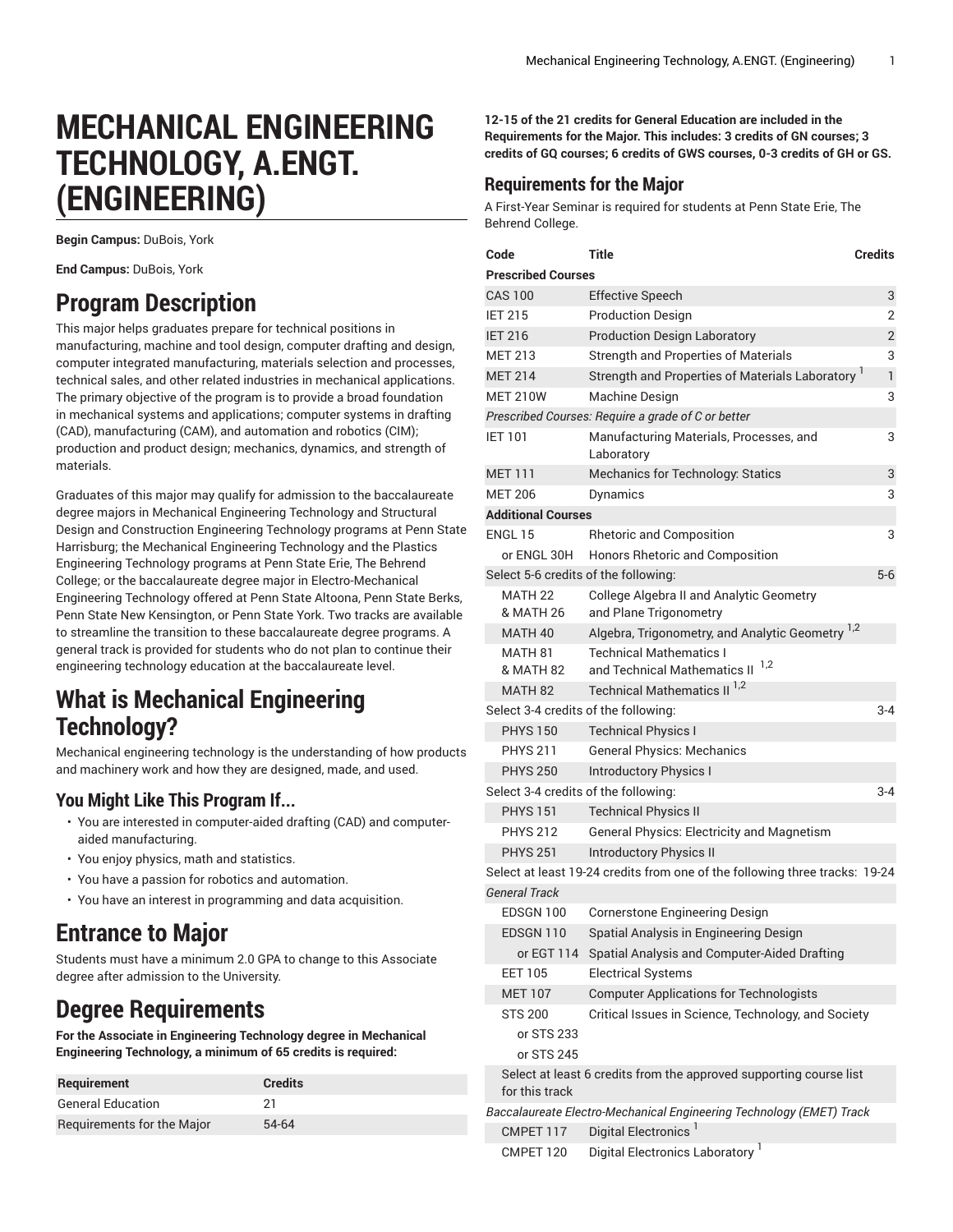# **MECHANICAL ENGINEERING TECHNOLOGY, A.ENGT. (ENGINEERING)**

**Begin Campus:** DuBois, York

**End Campus:** DuBois, York

## **Program Description**

This major helps graduates prepare for technical positions in manufacturing, machine and tool design, computer drafting and design, computer integrated manufacturing, materials selection and processes, technical sales, and other related industries in mechanical applications. The primary objective of the program is to provide a broad foundation in mechanical systems and applications; computer systems in drafting (CAD), manufacturing (CAM), and automation and robotics (CIM); production and product design; mechanics, dynamics, and strength of materials.

Graduates of this major may qualify for admission to the baccalaureate degree majors in Mechanical Engineering Technology and Structural Design and Construction Engineering Technology programs at Penn State Harrisburg; the Mechanical Engineering Technology and the Plastics Engineering Technology programs at Penn State Erie, The Behrend College; or the baccalaureate degree major in Electro-Mechanical Engineering Technology offered at Penn State Altoona, Penn State Berks, Penn State New Kensington, or Penn State York. Two tracks are available to streamline the transition to these baccalaureate degree programs. A general track is provided for students who do not plan to continue their engineering technology education at the baccalaureate level.

## **What is Mechanical Engineering Technology?**

Mechanical engineering technology is the understanding of how products and machinery work and how they are designed, made, and used.

## **You Might Like This Program If...**

- You are interested in computer-aided drafting (CAD) and computeraided manufacturing.
- You enjoy physics, math and statistics.
- You have a passion for robotics and automation.
- You have an interest in programming and data acquisition.

## **Entrance to Major**

Students must have a minimum 2.0 GPA to change to this Associate degree after admission to the University.

## **Degree Requirements**

**For the Associate in Engineering Technology degree in Mechanical Engineering Technology, a minimum of 65 credits is required:**

| <b>Requirement</b>         | <b>Credits</b> |
|----------------------------|----------------|
| <b>General Education</b>   | 21             |
| Requirements for the Major | 54-64          |

**12-15 of the 21 credits for General Education are included in the Requirements for the Major. This includes: 3 credits of GN courses; 3 credits of GQ courses; 6 credits of GWS courses, 0-3 credits of GH or GS.**

## **Requirements for the Major**

A First-Year Seminar is required for students at Penn State Erie, The Behrend College.

| Code           |                                            | <b>Title</b>                                                                | <b>Credits</b> |
|----------------|--------------------------------------------|-----------------------------------------------------------------------------|----------------|
|                | <b>Prescribed Courses</b>                  |                                                                             |                |
|                | <b>CAS 100</b>                             | <b>Effective Speech</b>                                                     | 3              |
| <b>IET 215</b> |                                            | <b>Production Design</b>                                                    | 2              |
| <b>IET 216</b> |                                            | <b>Production Design Laboratory</b>                                         | $\overline{2}$ |
|                | <b>MET 213</b>                             | <b>Strength and Properties of Materials</b>                                 | 3              |
|                | <b>MET 214</b>                             | Strength and Properties of Materials Laboratory                             | $\mathbf{1}$   |
|                | <b>MET 210W</b>                            | Machine Design                                                              | 3              |
|                |                                            | Prescribed Courses: Require a grade of C or better                          |                |
| <b>IET 101</b> |                                            | Manufacturing Materials, Processes, and<br>Laboratory                       | 3              |
|                | <b>MET 111</b>                             | Mechanics for Technology: Statics                                           | 3              |
|                | <b>MET 206</b>                             | Dynamics                                                                    | 3              |
|                | <b>Additional Courses</b>                  |                                                                             |                |
|                | ENGL 15                                    | <b>Rhetoric and Composition</b>                                             | 3              |
|                | or ENGL 30H                                | Honors Rhetoric and Composition                                             |                |
|                |                                            | Select 5-6 credits of the following:                                        | $5-6$          |
|                | MATH 22<br>& MATH 26                       | <b>College Algebra II and Analytic Geometry</b><br>and Plane Trigonometry   |                |
|                | MATH <sub>40</sub>                         | Algebra, Trigonometry, and Analytic Geometry <sup>1,2</sup>                 |                |
|                | <b>MATH 81</b>                             | <b>Technical Mathematics I</b>                                              |                |
|                | & MATH 82                                  | 1,2<br>and Technical Mathematics II                                         |                |
|                | MATH <sub>82</sub>                         | Technical Mathematics II <sup>1,2</sup>                                     |                |
|                |                                            | Select 3-4 credits of the following:                                        | $3 - 4$        |
|                | <b>PHYS 150</b>                            | <b>Technical Physics I</b>                                                  |                |
|                | <b>PHYS 211</b>                            | <b>General Physics: Mechanics</b>                                           |                |
|                | <b>PHYS 250</b>                            | <b>Introductory Physics I</b>                                               |                |
|                |                                            | Select 3-4 credits of the following:                                        | $3 - 4$        |
|                | <b>PHYS 151</b>                            | <b>Technical Physics II</b>                                                 |                |
|                | <b>PHYS 212</b>                            | <b>General Physics: Electricity and Magnetism</b>                           |                |
|                | <b>PHYS 251</b>                            | <b>Introductory Physics II</b>                                              |                |
|                |                                            | Select at least 19-24 credits from one of the following three tracks: 19-24 |                |
|                | <b>General Track</b>                       |                                                                             |                |
|                | EDSGN 100                                  | Cornerstone Engineering Design                                              |                |
|                | EDSGN 110                                  | Spatial Analysis in Engineering Design                                      |                |
|                |                                            | or EGT 114 Spatial Analysis and Computer-Aided Drafting                     |                |
|                | <b>EET 105</b>                             | <b>Electrical Systems</b>                                                   |                |
|                | <b>MET 107</b>                             | <b>Computer Applications for Technologists</b>                              |                |
|                | <b>STS 200</b><br>or STS 233<br>or STS 245 | Critical Issues in Science, Technology, and Society                         |                |
|                | for this track                             | Select at least 6 credits from the approved supporting course list          |                |
|                |                                            | Baccalaureate Electro-Mechanical Engineering Technology (EMET) Track        |                |
|                | CMPET 117                                  | Digital Electronics                                                         |                |
|                | CMPET 120                                  | Digital Electronics Laboratory <sup>1</sup>                                 |                |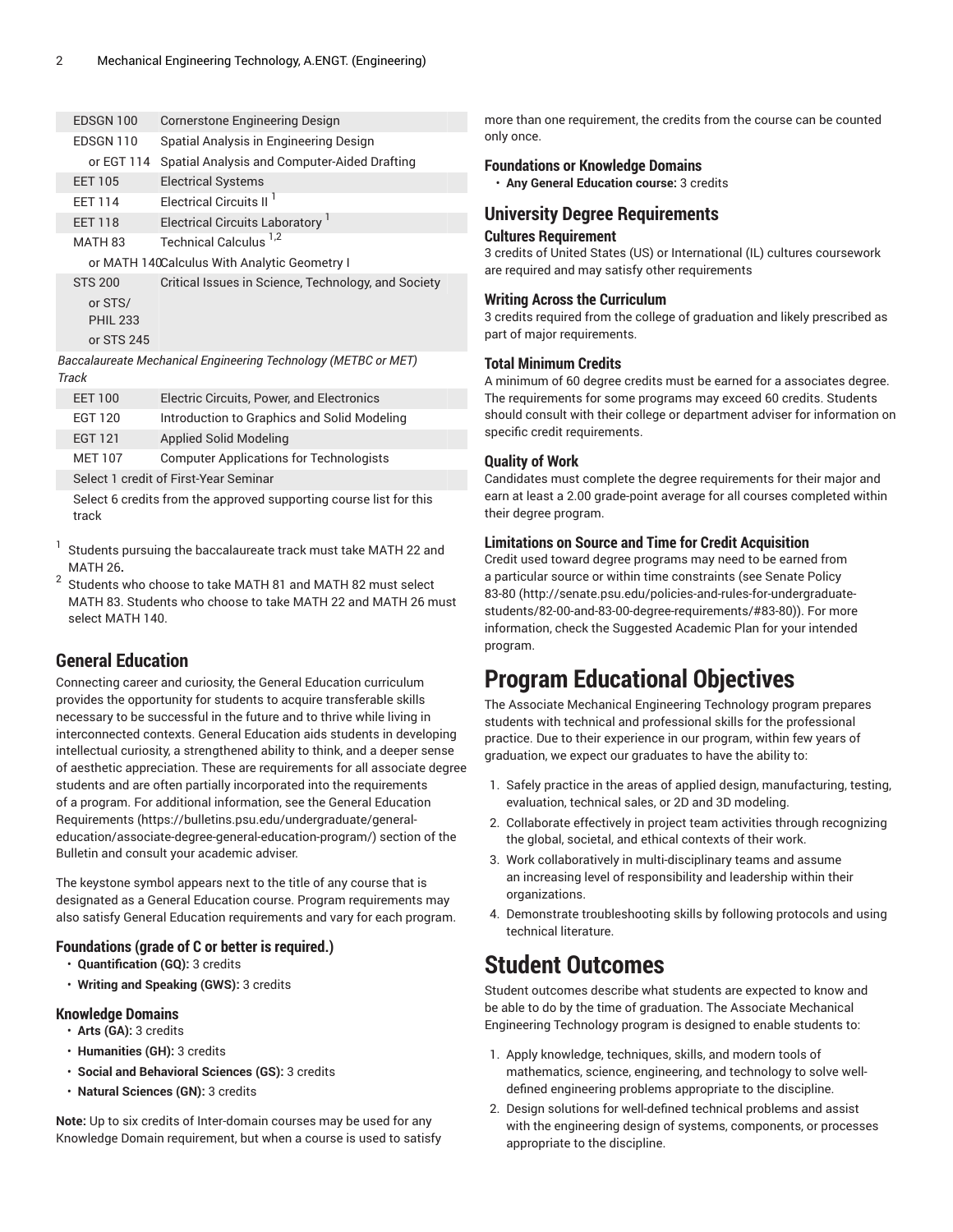| EDSGN 100       | <b>Cornerstone Engineering Design</b>                          |
|-----------------|----------------------------------------------------------------|
| EDSGN 110       | Spatial Analysis in Engineering Design                         |
| or EGT 114      | Spatial Analysis and Computer-Aided Drafting                   |
| <b>EET 105</b>  | <b>Electrical Systems</b>                                      |
| <b>FFT 114</b>  | Electrical Circuits II <sup>1</sup>                            |
| <b>EET 118</b>  | Electrical Circuits Laboratory                                 |
| MATH 83         | Technical Calculus <sup>1,2</sup>                              |
|                 | or MATH 140Calculus With Analytic Geometry I                   |
| <b>STS 200</b>  | Critical Issues in Science, Technology, and Society            |
| or STS/         |                                                                |
| <b>PHIL 233</b> |                                                                |
| or STS 245      |                                                                |
| Track           | Baccalaureate Mechanical Engineering Technology (METBC or MET) |

| <b>EET 100</b> | Electric Circuits, Power, and Electronics      |  |  |
|----------------|------------------------------------------------|--|--|
| <b>EGT 120</b> | Introduction to Graphics and Solid Modeling    |  |  |
| <b>EGT 121</b> | Applied Solid Modeling                         |  |  |
| <b>MET 107</b> | <b>Computer Applications for Technologists</b> |  |  |
|                | Select 1 credit of First-Year Seminar          |  |  |
|                |                                                |  |  |

Select 6 credits from the approved supporting course list for this track

- 1 Students pursuing the baccalaureate track must take MATH 22 and MATH 26**.**
- 2 Students who choose to take MATH 81 and MATH 82 must select MATH 83. Students who choose to take MATH 22 and MATH 26 must select MATH 140.

## **General Education**

Connecting career and curiosity, the General Education curriculum provides the opportunity for students to acquire transferable skills necessary to be successful in the future and to thrive while living in interconnected contexts. General Education aids students in developing intellectual curiosity, a strengthened ability to think, and a deeper sense of aesthetic appreciation. These are requirements for all associate degree students and are often partially incorporated into the requirements of a program. For additional information, see the General [Education](https://bulletins.psu.edu/undergraduate/general-education/associate-degree-general-education-program/) [Requirements](https://bulletins.psu.edu/undergraduate/general-education/associate-degree-general-education-program/) ([https://bulletins.psu.edu/undergraduate/general](https://bulletins.psu.edu/undergraduate/general-education/associate-degree-general-education-program/)[education/associate-degree-general-education-program/](https://bulletins.psu.edu/undergraduate/general-education/associate-degree-general-education-program/)) section of the Bulletin and consult your academic adviser.

The keystone symbol appears next to the title of any course that is designated as a General Education course. Program requirements may also satisfy General Education requirements and vary for each program.

### **Foundations (grade of C or better is required.)**

- **Quantification (GQ):** 3 credits
- **Writing and Speaking (GWS):** 3 credits

### **Knowledge Domains**

- **Arts (GA):** 3 credits
- **Humanities (GH):** 3 credits
- **Social and Behavioral Sciences (GS):** 3 credits
- **Natural Sciences (GN):** 3 credits

**Note:** Up to six credits of Inter-domain courses may be used for any Knowledge Domain requirement, but when a course is used to satisfy

more than one requirement, the credits from the course can be counted only once.

### **Foundations or Knowledge Domains**

• **Any General Education course:** 3 credits

## **University Degree Requirements**

### **Cultures Requirement**

3 credits of United States (US) or International (IL) cultures coursework are required and may satisfy other requirements

### **Writing Across the Curriculum**

3 credits required from the college of graduation and likely prescribed as part of major requirements.

### **Total Minimum Credits**

A minimum of 60 degree credits must be earned for a associates degree. The requirements for some programs may exceed 60 credits. Students should consult with their college or department adviser for information on specific credit requirements.

### **Quality of Work**

Candidates must complete the degree requirements for their major and earn at least a 2.00 grade-point average for all courses completed within their degree program.

### **Limitations on Source and Time for Credit Acquisition**

Credit used toward degree programs may need to be earned from a particular source or within time constraints (see [Senate](http://senate.psu.edu/policies-and-rules-for-undergraduate-students/82-00-and-83-00-degree-requirements/#83-80) Policy [83-80 \(http://senate.psu.edu/policies-and-rules-for-undergraduate](http://senate.psu.edu/policies-and-rules-for-undergraduate-students/82-00-and-83-00-degree-requirements/#83-80)[students/82-00-and-83-00-degree-requirements/#83-80\)](http://senate.psu.edu/policies-and-rules-for-undergraduate-students/82-00-and-83-00-degree-requirements/#83-80)). For more information, check the Suggested Academic Plan for your intended program.

## **Program Educational Objectives**

The Associate Mechanical Engineering Technology program prepares students with technical and professional skills for the professional practice. Due to their experience in our program, within few years of graduation, we expect our graduates to have the ability to:

- 1. Safely practice in the areas of applied design, manufacturing, testing, evaluation, technical sales, or 2D and 3D modeling.
- 2. Collaborate effectively in project team activities through recognizing the global, societal, and ethical contexts of their work.
- 3. Work collaboratively in multi-disciplinary teams and assume an increasing level of responsibility and leadership within their organizations.
- 4. Demonstrate troubleshooting skills by following protocols and using technical literature.

## **Student Outcomes**

Student outcomes describe what students are expected to know and be able to do by the time of graduation. The Associate Mechanical Engineering Technology program is designed to enable students to:

- 1. Apply knowledge, techniques, skills, and modern tools of mathematics, science, engineering, and technology to solve welldefined engineering problems appropriate to the discipline.
- 2. Design solutions for well-defined technical problems and assist with the engineering design of systems, components, or processes appropriate to the discipline.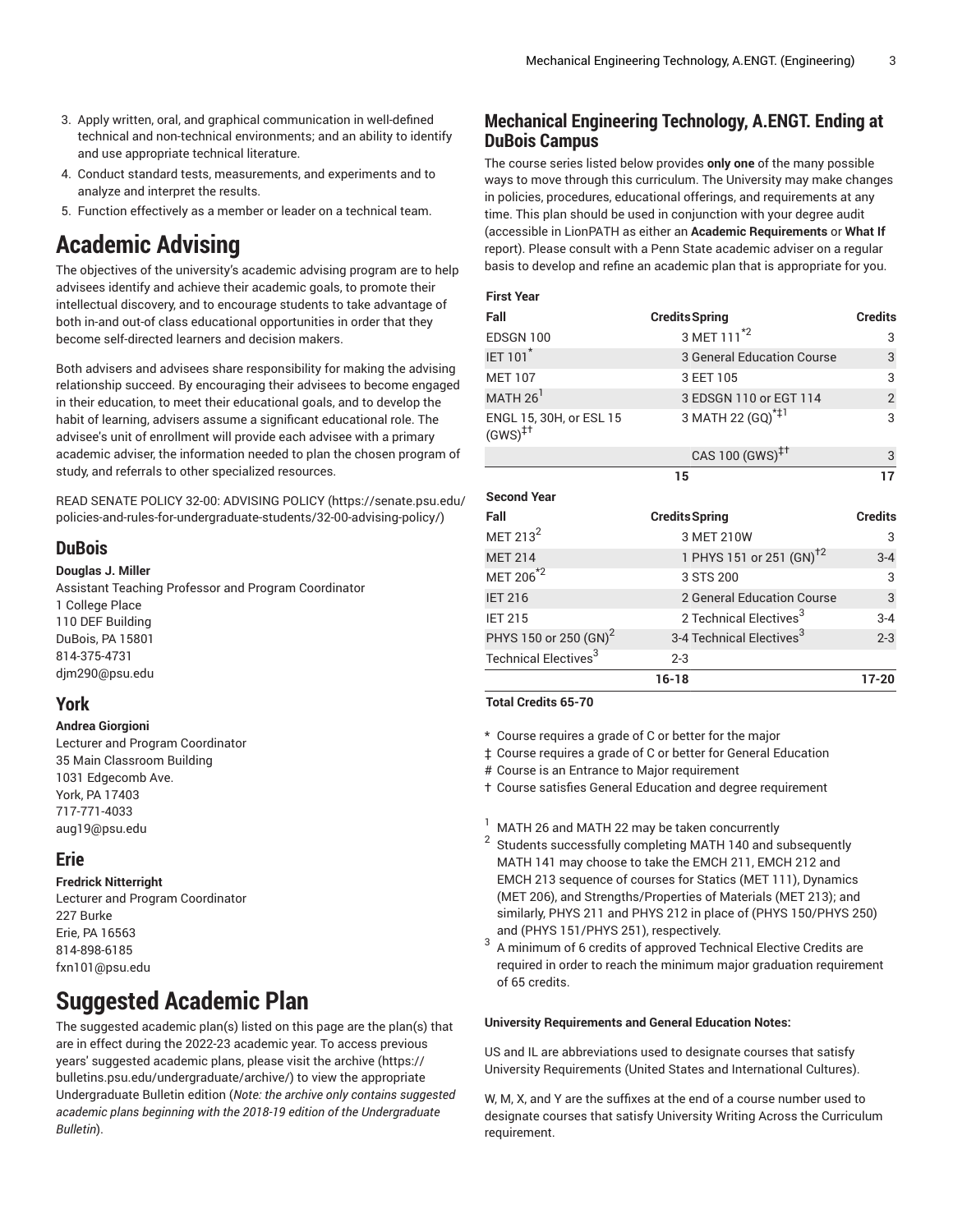- 3. Apply written, oral, and graphical communication in well-defined technical and non-technical environments; and an ability to identify and use appropriate technical literature.
- 4. Conduct standard tests, measurements, and experiments and to analyze and interpret the results.
- 5. Function effectively as a member or leader on a technical team.

## **Academic Advising**

The objectives of the university's academic advising program are to help advisees identify and achieve their academic goals, to promote their intellectual discovery, and to encourage students to take advantage of both in-and out-of class educational opportunities in order that they become self-directed learners and decision makers.

Both advisers and advisees share responsibility for making the advising relationship succeed. By encouraging their advisees to become engaged in their education, to meet their educational goals, and to develop the habit of learning, advisers assume a significant educational role. The advisee's unit of enrollment will provide each advisee with a primary academic adviser, the information needed to plan the chosen program of study, and referrals to other specialized resources.

READ SENATE POLICY 32-00: [ADVISING](https://senate.psu.edu/policies-and-rules-for-undergraduate-students/32-00-advising-policy/) POLICY [\(https://senate.psu.edu/](https://senate.psu.edu/policies-and-rules-for-undergraduate-students/32-00-advising-policy/) [policies-and-rules-for-undergraduate-students/32-00-advising-policy/](https://senate.psu.edu/policies-and-rules-for-undergraduate-students/32-00-advising-policy/))

## **DuBois**

#### **Douglas J. Miller**

Assistant Teaching Professor and Program Coordinator 1 College Place 110 DEF Building DuBois, PA 15801 814-375-4731 [djm290@psu.edu](mailto:djm290@psu.edu)

### **York**

#### **Andrea Giorgioni**

Lecturer and Program Coordinator 35 Main Classroom Building 1031 Edgecomb Ave. York, PA 17403 717-771-4033 [aug19@psu.edu](mailto:aug19@psu.edu)

### **Erie**

### **Fredrick Nitterright**

Lecturer and Program Coordinator 227 Burke Erie, PA 16563 814-898-6185 [fxn101@psu.edu](mailto:fxn101@psu.edu)

## **Suggested Academic Plan**

The suggested academic plan(s) listed on this page are the plan(s) that are in effect during the 2022-23 academic year. To access previous years' suggested academic plans, please visit the [archive](https://bulletins.psu.edu/undergraduate/archive/) ([https://](https://bulletins.psu.edu/undergraduate/archive/) [bulletins.psu.edu/undergraduate/archive/](https://bulletins.psu.edu/undergraduate/archive/)) to view the appropriate Undergraduate Bulletin edition (*Note: the archive only contains suggested academic plans beginning with the 2018-19 edition of the Undergraduate Bulletin*).

## **Mechanical Engineering Technology, A.ENGT. Ending at DuBois Campus**

The course series listed below provides **only one** of the many possible ways to move through this curriculum. The University may make changes in policies, procedures, educational offerings, and requirements at any time. This plan should be used in conjunction with your degree audit (accessible in LionPATH as either an **Academic Requirements** or **What If** report). Please consult with a Penn State academic adviser on a regular basis to develop and refine an academic plan that is appropriate for you.

#### **First Year**

| Fall                                                  | <b>Credits Spring</b>                | <b>Credits</b> |
|-------------------------------------------------------|--------------------------------------|----------------|
| EDSGN 100                                             | 3 MET 111 <sup>*2</sup>              | 3              |
| <b>IET 101<sup>*</sup></b>                            | 3 General Education Course           | 3              |
| <b>MET 107</b>                                        | 3 EET 105                            | 3              |
| MATH $261$                                            | 3 EDSGN 110 or EGT 114               | $\overline{2}$ |
| ENGL 15, 30H, or ESL 15<br>$(GWS)^{\ddagger \dagger}$ | 3 MATH 22 (GQ) <sup>*‡1</sup>        | 3              |
|                                                       | CAS 100 (GWS) <sup>‡†</sup>          | 3              |
|                                                       | 15                                   | 17             |
|                                                       |                                      |                |
| <b>Second Year</b>                                    |                                      |                |
| Fall                                                  | <b>Credits Spring</b>                | <b>Credits</b> |
| MET $213^2$                                           | 3 MET 210W                           | 3              |
| <b>MET 214</b>                                        | 1 PHYS 151 or 251 (GN) <sup>+2</sup> | $3 - 4$        |
| MET 206 <sup>*2</sup>                                 | 3 STS 200                            | 3              |
| <b>IET 216</b>                                        | 2 General Education Course           | $\sqrt{3}$     |
| <b>IET 215</b>                                        | 2 Technical Electives <sup>3</sup>   | $3 - 4$        |
| PHYS 150 or 250 (GN) <sup>2</sup>                     | 3-4 Technical Electives <sup>3</sup> | $2 - 3$        |

**16-18 17-20**

#### **Total Credits 65-70**

- \* Course requires a grade of C or better for the major
- ‡ Course requires a grade of C or better for General Education
- # Course is an Entrance to Major requirement
- † Course satisfies General Education and degree requirement
- MATH 26 and MATH 22 may be taken concurrently
- 2 Students successfully completing MATH 140 and subsequently MATH 141 may choose to take the EMCH 211, EMCH 212 and EMCH 213 sequence of courses for Statics (MET 111), Dynamics (MET 206), and Strengths/Properties of Materials (MET 213); and similarly, PHYS 211 and PHYS 212 in place of (PHYS 150/PHYS 250) and (PHYS 151/PHYS 251), respectively.
- 3 A minimum of 6 credits of approved Technical Elective Credits are required in order to reach the minimum major graduation requirement of 65 credits.

#### **University Requirements and General Education Notes:**

US and IL are abbreviations used to designate courses that satisfy University Requirements (United States and International Cultures).

W, M, X, and Y are the suffixes at the end of a course number used to designate courses that satisfy University Writing Across the Curriculum requirement.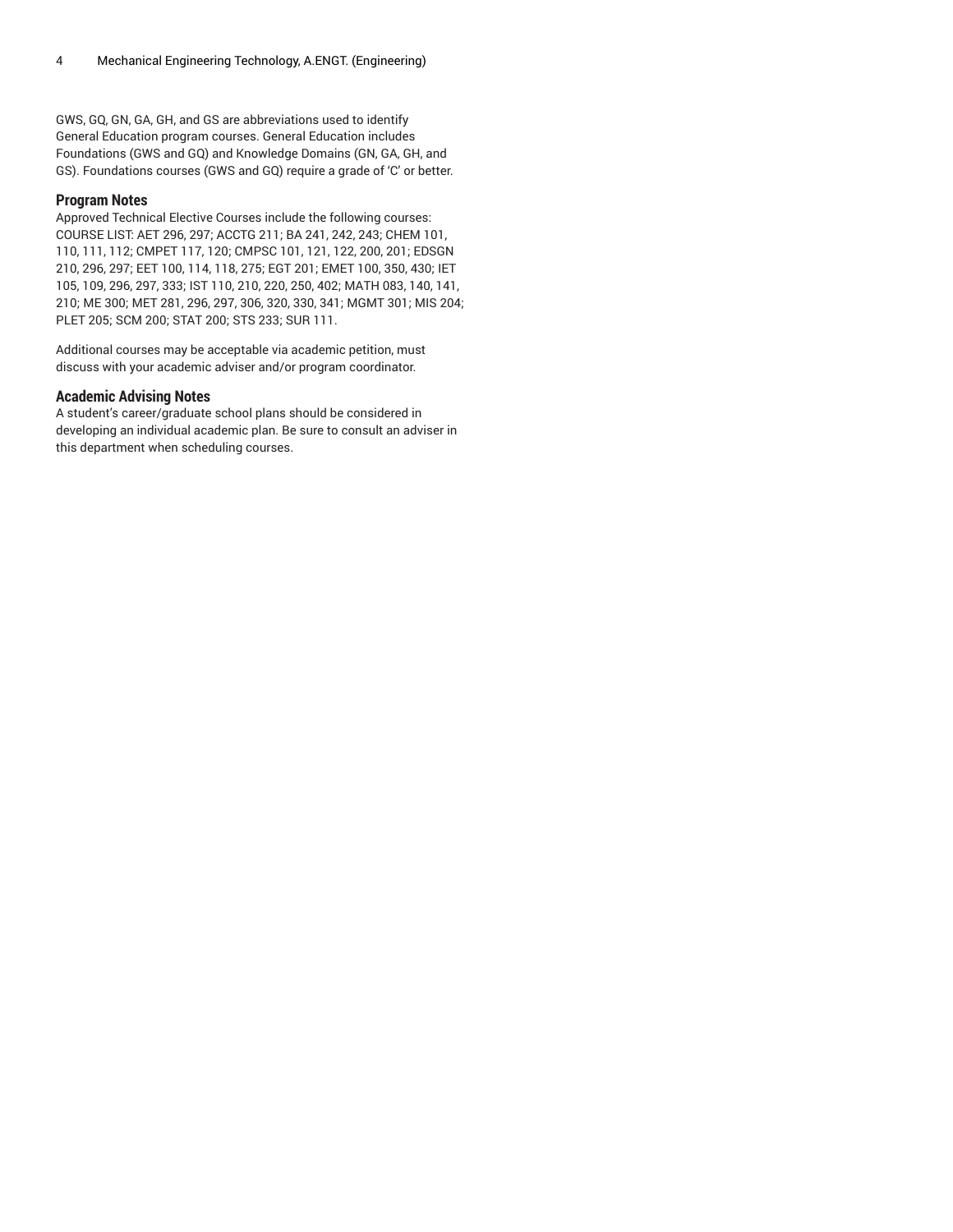GWS, GQ, GN, GA, GH, and GS are abbreviations used to identify General Education program courses. General Education includes Foundations (GWS and GQ) and Knowledge Domains (GN, GA, GH, and GS). Foundations courses (GWS and GQ) require a grade of 'C' or better.

#### **Program Notes**

Approved Technical Elective Courses include the following courses: COURSE LIST: AET 296, 297; ACCTG 211; BA 241, 242, 243; CHEM 101, 110, 111, 112; CMPET 117, 120; CMPSC 101, 121, 122, 200, 201; EDSGN 210, 296, 297; EET 100, 114, 118, 275; EGT 201; EMET 100, 350, 430; IET 105, 109, 296, 297, 333; IST 110, 210, 220, 250, 402; MATH 083, 140, 141, 210; ME 300; MET 281, 296, 297, 306, 320, 330, 341; MGMT 301; MIS 204; PLET 205; SCM 200; STAT 200; STS 233; SUR 111.

Additional courses may be acceptable via academic petition, must discuss with your academic adviser and/or program coordinator.

#### **Academic Advising Notes**

A student's career/graduate school plans should be considered in developing an individual academic plan. Be sure to consult an adviser in this department when scheduling courses.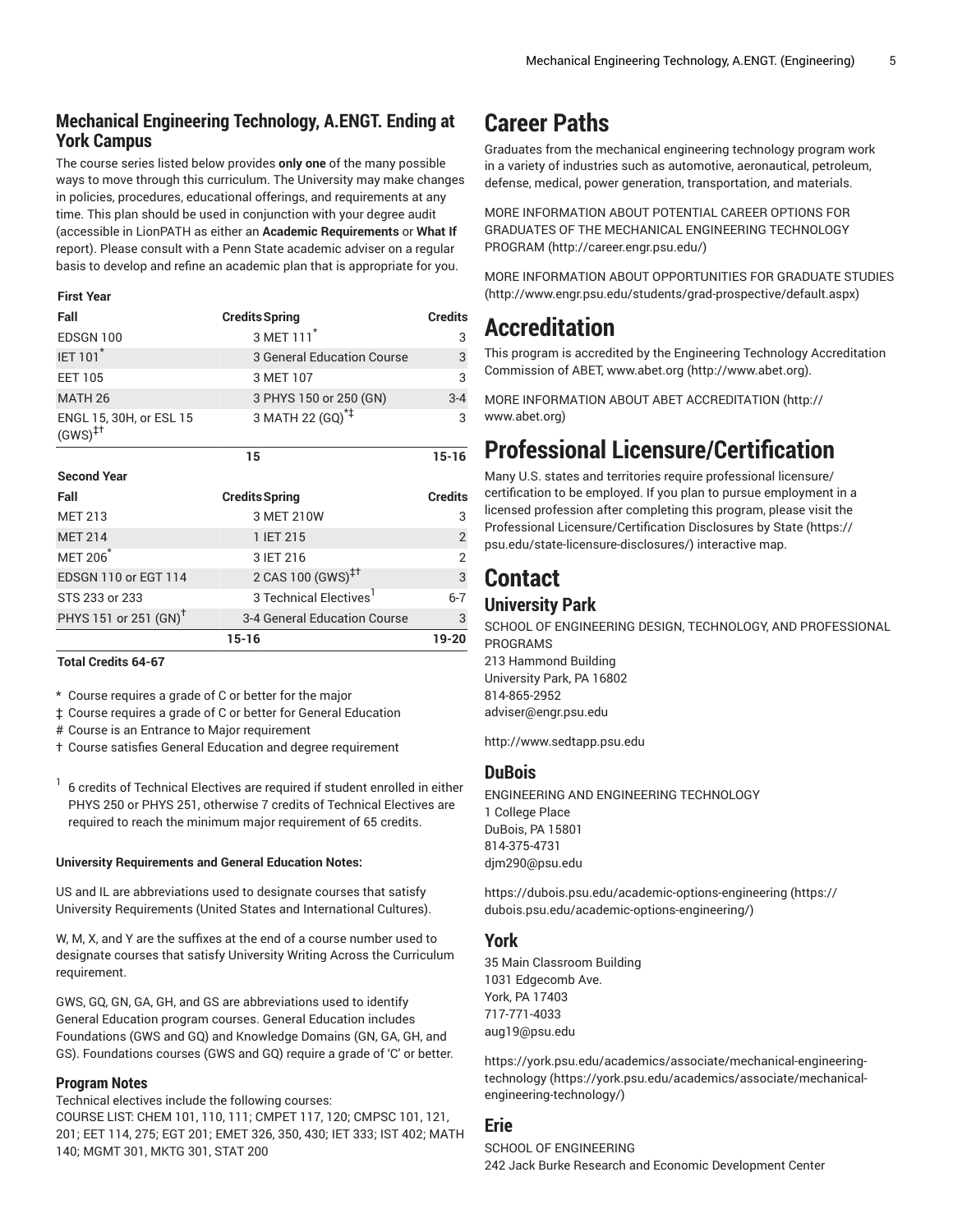## **Mechanical Engineering Technology, A.ENGT. Ending at York Campus**

The course series listed below provides **only one** of the many possible ways to move through this curriculum. The University may make changes in policies, procedures, educational offerings, and requirements at any time. This plan should be used in conjunction with your degree audit (accessible in LionPATH as either an **Academic Requirements** or **What If** report). Please consult with a Penn State academic adviser on a regular basis to develop and refine an academic plan that is appropriate for you.

#### **First Year**

| Fall                                                  | <b>Credits Spring</b>              | <b>Credits</b> |
|-------------------------------------------------------|------------------------------------|----------------|
| EDSGN 100                                             | 3 MET 111 <sup>*</sup>             | 3              |
| <b>IET 101</b> *                                      | 3 General Education Course         | 3              |
| <b>EET 105</b>                                        | 3 MET 107                          | 3              |
| MATH <sub>26</sub>                                    | 3 PHYS 150 or 250 (GN)             | $3 - 4$        |
| ENGL 15, 30H, or ESL 15<br>$(GWS)^{\ddagger \dagger}$ | 3 MATH 22 (GQ) <sup>*‡</sup>       | 3              |
|                                                       | 15                                 | $15 - 16$      |
| <b>Second Year</b>                                    |                                    |                |
|                                                       |                                    |                |
| Fall                                                  | <b>Credits Spring</b>              | <b>Credits</b> |
| <b>MET 213</b>                                        | 3 MET 210W                         | 3              |
| <b>MET 214</b>                                        | 1 IET 215                          | $\overline{2}$ |
| <b>MET 206<sup>*</sup></b>                            | 3 IET 216                          | $\mathfrak{p}$ |
| EDSGN 110 or EGT 114                                  | 2 CAS 100 (GWS) <sup>‡†</sup>      | 3              |
| STS 233 or 233                                        | 3 Technical Electives <sup>1</sup> | $6 - 7$        |
| PHYS 151 or 251 (GN) <sup>T</sup>                     | 3-4 General Education Course       | 3              |

**Total Credits 64-67**

\* Course requires a grade of C or better for the major

‡ Course requires a grade of C or better for General Education

# Course is an Entrance to Major requirement

† Course satisfies General Education and degree requirement

1 6 credits of Technical Electives are required if student enrolled in either PHYS 250 or PHYS 251, otherwise 7 credits of Technical Electives are required to reach the minimum major requirement of 65 credits.

#### **University Requirements and General Education Notes:**

US and IL are abbreviations used to designate courses that satisfy University Requirements (United States and International Cultures).

W, M, X, and Y are the suffixes at the end of a course number used to designate courses that satisfy University Writing Across the Curriculum requirement.

GWS, GQ, GN, GA, GH, and GS are abbreviations used to identify General Education program courses. General Education includes Foundations (GWS and GQ) and Knowledge Domains (GN, GA, GH, and GS). Foundations courses (GWS and GQ) require a grade of 'C' or better.

### **Program Notes**

Technical electives include the following courses: COURSE LIST: CHEM 101, 110, 111; CMPET 117, 120; CMPSC 101, 121, 201; EET 114, 275; EGT 201; EMET 326, 350, 430; IET 333; IST 402; MATH 140; MGMT 301, MKTG 301, STAT 200

## **Career Paths**

Graduates from the mechanical engineering technology program work in a variety of industries such as automotive, aeronautical, petroleum, defense, medical, power generation, transportation, and materials.

MORE [INFORMATION](http://career.engr.psu.edu/) ABOUT POTENTIAL CAREER OPTIONS FOR GRADUATES OF THE MECHANICAL [ENGINEERING](http://career.engr.psu.edu/) TECHNOLOGY [PROGRAM](http://career.engr.psu.edu/) ([http://career.engr.psu.edu/\)](http://career.engr.psu.edu/)

MORE INFORMATION ABOUT [OPPORTUNITIES](http://www.engr.psu.edu/students/grad-prospective/default.aspx) FOR GRADUATE STUDIES [\(http://www.engr.psu.edu/students/grad-prospective/default.aspx\)](http://www.engr.psu.edu/students/grad-prospective/default.aspx)

## **Accreditation**

This program is accredited by the Engineering Technology Accreditation Commission of ABET, [www.abet.org \(http://www.abet.org](http://www.abet.org)).

MORE INFORMATION ABOUT ABET [ACCREDITATION](http://www.abet.org) ([http://](http://www.abet.org) [www.abet.org](http://www.abet.org))

## **Professional Licensure/Certification**

Many U.S. states and territories require professional licensure/ certification to be employed. If you plan to pursue employment in a licensed profession after completing this program, please visit the Professional [Licensure/Certification](https://psu.edu/state-licensure-disclosures/) Disclosures by State ([https://](https://psu.edu/state-licensure-disclosures/) [psu.edu/state-licensure-disclosures/](https://psu.edu/state-licensure-disclosures/)) interactive map.

## **Contact**

## **University Park**

SCHOOL OF ENGINEERING DESIGN, TECHNOLOGY, AND PROFESSIONAL PROGRAMS 213 Hammond Building University Park, PA 16802 814-865-2952 [adviser@engr.psu.edu](mailto:adviser@engr.psu.edu)

<http://www.sedtapp.psu.edu>

### **DuBois**

ENGINEERING AND ENGINEERING TECHNOLOGY 1 College Place DuBois, PA 15801 814-375-4731 [djm290@psu.edu](mailto:djm290@psu.edu)

[https://dubois.psu.edu/academic-options-engineering](https://dubois.psu.edu/academic-options-engineering/) ([https://](https://dubois.psu.edu/academic-options-engineering/) [dubois.psu.edu/academic-options-engineering/\)](https://dubois.psu.edu/academic-options-engineering/)

### **York**

35 Main Classroom Building 1031 Edgecomb Ave. York, PA 17403 717-771-4033 [aug19@psu.edu](mailto:aug19@psu.edu)

[https://york.psu.edu/academics/associate/mechanical-engineering](https://york.psu.edu/academics/associate/mechanical-engineering-technology/)[technology](https://york.psu.edu/academics/associate/mechanical-engineering-technology/) ([https://york.psu.edu/academics/associate/mechanical](https://york.psu.edu/academics/associate/mechanical-engineering-technology/)[engineering-technology/](https://york.psu.edu/academics/associate/mechanical-engineering-technology/))

### **Erie**

SCHOOL OF ENGINEERING 242 Jack Burke Research and Economic Development Center